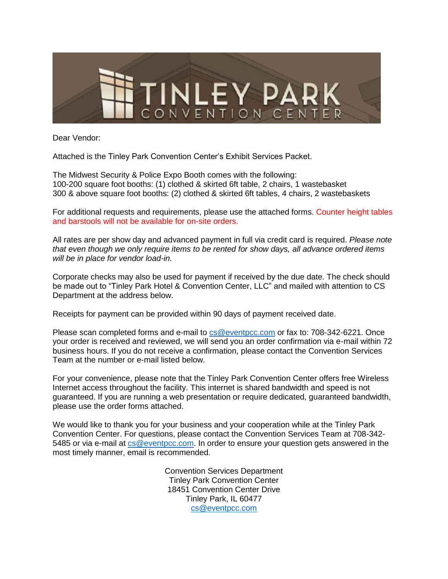

Dear Vendor:

Attached is the Tinley Park Convention Center's Exhibit Services Packet.

The Midwest Security & Police Expo Booth comes with the following: 100-200 square foot booths: (1) clothed & skirted 6ft table, 2 chairs, 1 wastebasket 300 & above square foot booths: (2) clothed & skirted 6ft tables, 4 chairs, 2 wastebaskets

For additional requests and requirements, please use the attached forms. Counter height tables and barstools will not be available for on-site orders.

All rates are per show day and advanced payment in full via credit card is required. *Please note that even though we only require items to be rented for show days, all advance ordered items will be in place for vendor load-in.* 

Corporate checks may also be used for payment if received by the due date. The check should be made out to "Tinley Park Hotel & Convention Center, LLC" and mailed with attention to CS Department at the address below.

Receipts for payment can be provided within 90 days of payment received date.

Please scan completed forms and e-mail to cs@eventpcc.com or fax to: 708-342-6221. Once your order is received and reviewed, we will send you an order confirmation via e-mail within 72 business hours. If you do not receive a confirmation, please contact the Convention Services Team at the number or e-mail listed below.

For your convenience, please note that the Tinley Park Convention Center offers free Wireless Internet access throughout the facility. This internet is shared bandwidth and speed is not guaranteed. If you are running a web presentation or require dedicated, guaranteed bandwidth, please use the order forms attached.

We would like to thank you for your business and your cooperation while at the Tinley Park Convention Center. For questions, please contact the Convention Services Team at 708-342- 5485 or via e-mail at [cs@eventpcc.com.](mailto:cs@eventpcc.com) In order to ensure your question gets answered in the most timely manner, email is recommended.

> Convention Services Department Tinley Park Convention Center 18451 Convention Center Drive Tinley Park, IL 60477 cs@eventpcc.com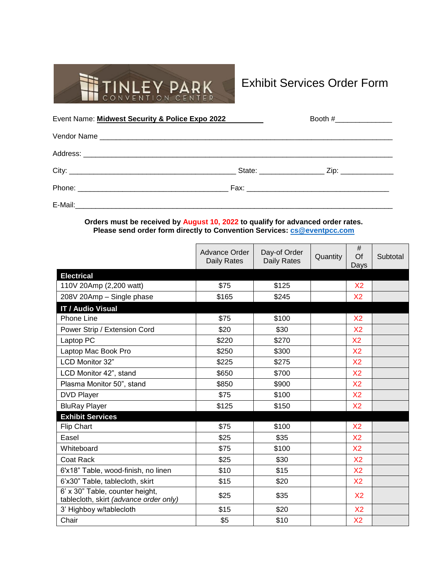

# Exhibit Services Order Form

| Event Name: Midwest Security & Police Expo 2022 | Booth #___________________ |
|-------------------------------------------------|----------------------------|
|                                                 |                            |
|                                                 |                            |
|                                                 |                            |
|                                                 |                            |
|                                                 |                            |

#### **Orders must be received by August 10, 2022 to qualify for advanced order rates. Please send order form directly to Convention Services: [cs@eventpcc.com](mailto:cs@eventpcc.com)**

|                                                                           | <b>Advance Order</b><br>Daily Rates | Day-of Order<br><b>Daily Rates</b> | Quantity | #<br>Of<br>Days | Subtotal |
|---------------------------------------------------------------------------|-------------------------------------|------------------------------------|----------|-----------------|----------|
| <b>Electrical</b>                                                         |                                     |                                    |          |                 |          |
| 110V 20Amp (2,200 watt)                                                   | \$75                                | \$125                              |          | X <sub>2</sub>  |          |
| 208V 20Amp - Single phase                                                 | \$165                               | \$245                              |          | X <sub>2</sub>  |          |
| <b>IT / Audio Visual</b>                                                  |                                     |                                    |          |                 |          |
| Phone Line                                                                | \$75                                | \$100                              |          | X <sub>2</sub>  |          |
| Power Strip / Extension Cord                                              | \$20                                | \$30                               |          | X <sub>2</sub>  |          |
| Laptop PC                                                                 | \$220                               | \$270                              |          | X <sub>2</sub>  |          |
| Laptop Mac Book Pro                                                       | \$250                               | \$300                              |          | X <sub>2</sub>  |          |
| LCD Monitor 32"                                                           | \$225                               | \$275                              |          | X <sub>2</sub>  |          |
| LCD Monitor 42", stand                                                    | \$650                               | \$700                              |          | X <sub>2</sub>  |          |
| Plasma Monitor 50", stand                                                 | \$850                               | \$900                              |          | X <sub>2</sub>  |          |
| <b>DVD Player</b>                                                         | \$75                                | \$100                              |          | X <sub>2</sub>  |          |
| <b>BluRay Player</b>                                                      | \$125                               | \$150                              |          | X <sub>2</sub>  |          |
| <b>Exhibit Services</b>                                                   |                                     |                                    |          |                 |          |
| Flip Chart                                                                | \$75                                | \$100                              |          | X <sub>2</sub>  |          |
| Easel                                                                     | \$25                                | \$35                               |          | X <sub>2</sub>  |          |
| Whiteboard                                                                | \$75                                | \$100                              |          | X2              |          |
| <b>Coat Rack</b>                                                          | \$25                                | \$30                               |          | X <sub>2</sub>  |          |
| 6'x18" Table, wood-finish, no linen                                       | \$10                                | \$15                               |          | X <sub>2</sub>  |          |
| 6'x30" Table, tablecloth, skirt                                           | \$15                                | \$20                               |          | X <sub>2</sub>  |          |
| 6' x 30" Table, counter height,<br>tablecloth, skirt (advance order only) | \$25                                | \$35                               |          | X <sub>2</sub>  |          |
| 3' Highboy w/tablecloth                                                   | \$15                                | \$20                               |          | X <sub>2</sub>  |          |
| Chair                                                                     | \$5                                 | \$10                               |          | X <sub>2</sub>  |          |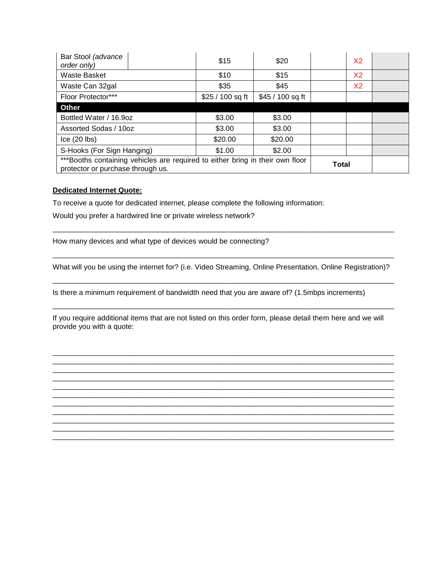| Bar Stool (advance<br>order only)                                                                                  | \$15             | \$20             |  | X <sub>2</sub> |  |
|--------------------------------------------------------------------------------------------------------------------|------------------|------------------|--|----------------|--|
| Waste Basket                                                                                                       | \$10             | \$15             |  | X <sub>2</sub> |  |
| Waste Can 32gal                                                                                                    | \$35             | \$45             |  | X <sub>2</sub> |  |
| Floor Protector***                                                                                                 | \$25 / 100 sq ft | \$45 / 100 sq ft |  |                |  |
| <b>Other</b>                                                                                                       |                  |                  |  |                |  |
| Bottled Water / 16.9oz                                                                                             | \$3.00           | \$3.00           |  |                |  |
| Assorted Sodas / 10oz                                                                                              | \$3.00           | \$3.00           |  |                |  |
| ce(20 bs)                                                                                                          | \$20.00          | \$20.00          |  |                |  |
| S-Hooks (For Sign Hanging)                                                                                         | \$1.00           | \$2.00           |  |                |  |
| ***Booths containing vehicles are required to either bring in their own floor<br>protector or purchase through us. |                  | <b>Total</b>     |  |                |  |

### **Dedicated Internet Quote:**

To receive a quote for dedicated internet, please complete the following information:

Would you prefer a hardwired line or private wireless network?

How many devices and what type of devices would be connecting?

\_\_\_\_\_\_\_\_\_\_\_\_\_\_\_\_\_\_\_\_\_\_\_\_\_\_\_\_\_\_\_\_\_\_\_\_\_\_\_\_\_\_\_\_\_\_\_\_\_\_\_\_\_\_\_\_\_\_\_\_\_\_\_\_\_\_\_\_\_\_\_\_\_\_\_\_\_\_\_\_\_\_\_\_ What will you be using the internet for? (i.e. Video Streaming, Online Presentation, Online Registration)? \_\_\_\_\_\_\_\_\_\_\_\_\_\_\_\_\_\_\_\_\_\_\_\_\_\_\_\_\_\_\_\_\_\_\_\_\_\_\_\_\_\_\_\_\_\_\_\_\_\_\_\_\_\_\_\_\_\_\_\_\_\_\_\_\_\_\_\_\_\_\_\_\_\_\_\_\_\_\_\_\_\_\_\_

\_\_\_\_\_\_\_\_\_\_\_\_\_\_\_\_\_\_\_\_\_\_\_\_\_\_\_\_\_\_\_\_\_\_\_\_\_\_\_\_\_\_\_\_\_\_\_\_\_\_\_\_\_\_\_\_\_\_\_\_\_\_\_\_\_\_\_\_\_\_\_\_\_\_\_\_\_\_\_\_\_\_\_\_

Is there a minimum requirement of bandwidth need that you are aware of? (1.5mbps increments)

If you require additional items that are not listed on this order form, please detail them here and we will provide you with a quote:

\_\_\_\_\_\_\_\_\_\_\_\_\_\_\_\_\_\_\_\_\_\_\_\_\_\_\_\_\_\_\_\_\_\_\_\_\_\_\_\_\_\_\_\_\_\_\_\_\_\_\_\_\_\_\_\_\_\_\_\_\_\_\_\_\_\_\_\_\_\_\_\_\_\_\_\_\_\_\_\_\_\_\_\_

\_\_\_\_\_\_\_\_\_\_\_\_\_\_\_\_\_\_\_\_\_\_\_\_\_\_\_\_\_\_\_\_\_\_\_\_\_\_\_\_\_\_\_\_\_\_\_\_\_\_\_\_\_\_\_\_\_\_\_\_\_\_\_\_\_\_\_\_\_\_\_\_\_\_\_\_\_\_\_\_\_\_\_\_ \_\_\_\_\_\_\_\_\_\_\_\_\_\_\_\_\_\_\_\_\_\_\_\_\_\_\_\_\_\_\_\_\_\_\_\_\_\_\_\_\_\_\_\_\_\_\_\_\_\_\_\_\_\_\_\_\_\_\_\_\_\_\_\_\_\_\_\_\_\_\_\_\_\_\_\_\_\_\_\_\_\_\_\_ \_\_\_\_\_\_\_\_\_\_\_\_\_\_\_\_\_\_\_\_\_\_\_\_\_\_\_\_\_\_\_\_\_\_\_\_\_\_\_\_\_\_\_\_\_\_\_\_\_\_\_\_\_\_\_\_\_\_\_\_\_\_\_\_\_\_\_\_\_\_\_\_\_\_\_\_\_\_\_\_\_\_\_\_ \_\_\_\_\_\_\_\_\_\_\_\_\_\_\_\_\_\_\_\_\_\_\_\_\_\_\_\_\_\_\_\_\_\_\_\_\_\_\_\_\_\_\_\_\_\_\_\_\_\_\_\_\_\_\_\_\_\_\_\_\_\_\_\_\_\_\_\_\_\_\_\_\_\_\_\_\_\_\_\_\_\_\_\_ \_\_\_\_\_\_\_\_\_\_\_\_\_\_\_\_\_\_\_\_\_\_\_\_\_\_\_\_\_\_\_\_\_\_\_\_\_\_\_\_\_\_\_\_\_\_\_\_\_\_\_\_\_\_\_\_\_\_\_\_\_\_\_\_\_\_\_\_\_\_\_\_\_\_\_\_\_\_\_\_\_\_\_\_ \_\_\_\_\_\_\_\_\_\_\_\_\_\_\_\_\_\_\_\_\_\_\_\_\_\_\_\_\_\_\_\_\_\_\_\_\_\_\_\_\_\_\_\_\_\_\_\_\_\_\_\_\_\_\_\_\_\_\_\_\_\_\_\_\_\_\_\_\_\_\_\_\_\_\_\_\_\_\_\_\_\_\_\_ \_\_\_\_\_\_\_\_\_\_\_\_\_\_\_\_\_\_\_\_\_\_\_\_\_\_\_\_\_\_\_\_\_\_\_\_\_\_\_\_\_\_\_\_\_\_\_\_\_\_\_\_\_\_\_\_\_\_\_\_\_\_\_\_\_\_\_\_\_\_\_\_\_\_\_\_\_\_\_\_\_\_\_\_ \_\_\_\_\_\_\_\_\_\_\_\_\_\_\_\_\_\_\_\_\_\_\_\_\_\_\_\_\_\_\_\_\_\_\_\_\_\_\_\_\_\_\_\_\_\_\_\_\_\_\_\_\_\_\_\_\_\_\_\_\_\_\_\_\_\_\_\_\_\_\_\_\_\_\_\_\_\_\_\_\_\_\_\_

\_\_\_\_\_\_\_\_\_\_\_\_\_\_\_\_\_\_\_\_\_\_\_\_\_\_\_\_\_\_\_\_\_\_\_\_\_\_\_\_\_\_\_\_\_\_\_\_\_\_\_\_\_\_\_\_\_\_\_\_\_\_\_\_\_\_\_\_\_\_\_\_\_\_\_\_\_\_\_\_\_\_\_\_ \_\_\_\_\_\_\_\_\_\_\_\_\_\_\_\_\_\_\_\_\_\_\_\_\_\_\_\_\_\_\_\_\_\_\_\_\_\_\_\_\_\_\_\_\_\_\_\_\_\_\_\_\_\_\_\_\_\_\_\_\_\_\_\_\_\_\_\_\_\_\_\_\_\_\_\_\_\_\_\_\_\_\_\_